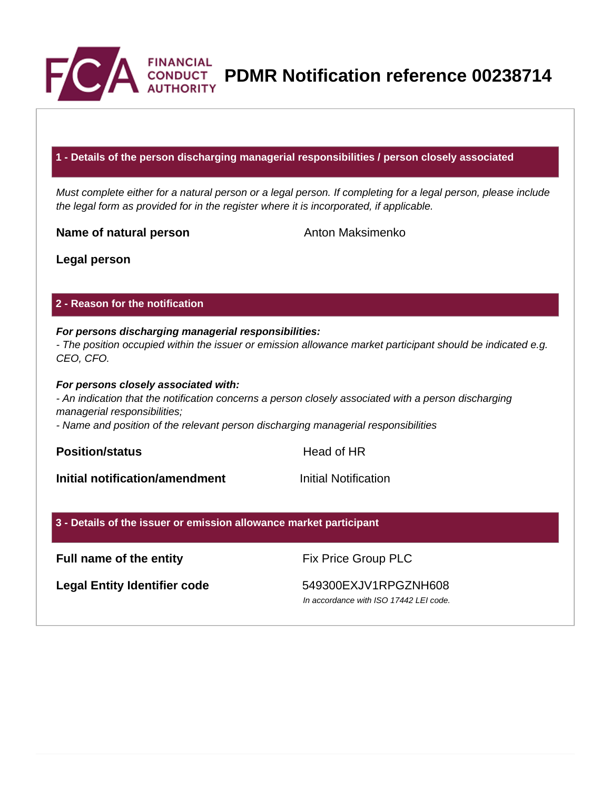

**PDMR Notification reference 00238714**

## **1 - Details of the person discharging managerial responsibilities / person closely associated**

Must complete either for a natural person or a legal person. If completing for a legal person, please include the legal form as provided for in the register where it is incorporated, if applicable.

**Name of natural person** Anton Maksimenko

**Legal person**

## **2 - Reason for the notification**

# **For persons discharging managerial responsibilities:**

- The position occupied within the issuer or emission allowance market participant should be indicated e.g. CEO, CFO.

#### **For persons closely associated with:**

- An indication that the notification concerns a person closely associated with a person discharging managerial responsibilities;

- Name and position of the relevant person discharging managerial responsibilities

**Position/status Head of HR** 

**Initial notification/amendment Initial Notification** 

## **3 - Details of the issuer or emission allowance market participant**

## **Full name of the entity** Fix Price Group PLC

Legal Entity Identifier code 549300EXJV1RPGZNH608

In accordance with ISO 17442 LEI code.